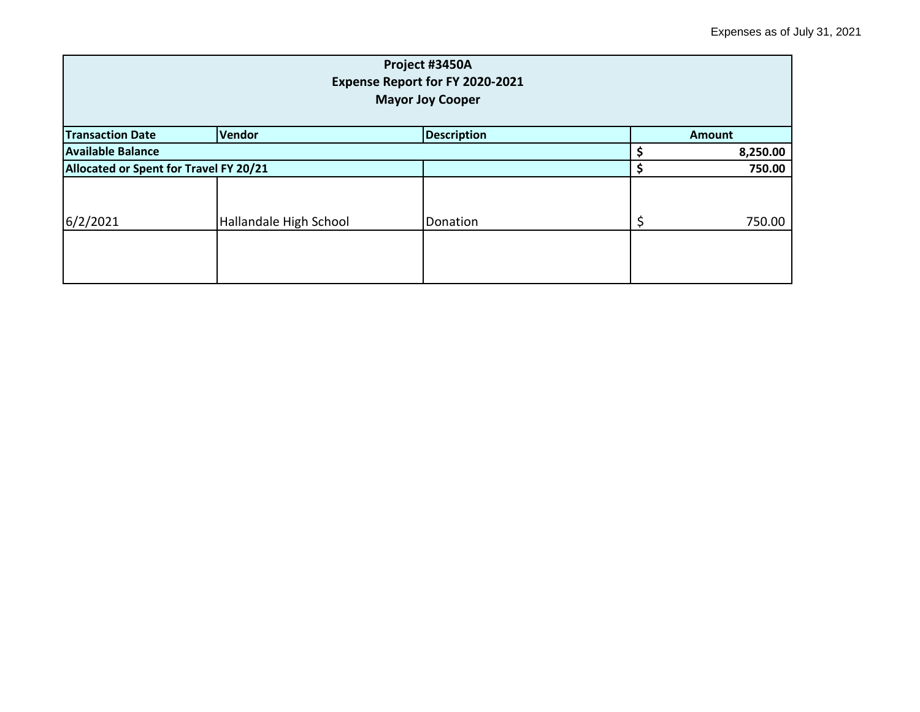| Project #3450A<br>Expense Report for FY 2020-2021<br><b>Mayor Joy Cooper</b> |                        |          |  |          |  |
|------------------------------------------------------------------------------|------------------------|----------|--|----------|--|
| Vendor<br><b>Description</b><br><b>Transaction Date</b><br><b>Amount</b>     |                        |          |  |          |  |
| <b>Available Balance</b>                                                     |                        |          |  | 8,250.00 |  |
| Allocated or Spent for Travel FY 20/21                                       |                        |          |  | 750.00   |  |
| 6/2/2021                                                                     | Hallandale High School | Donation |  | 750.00   |  |
|                                                                              |                        |          |  |          |  |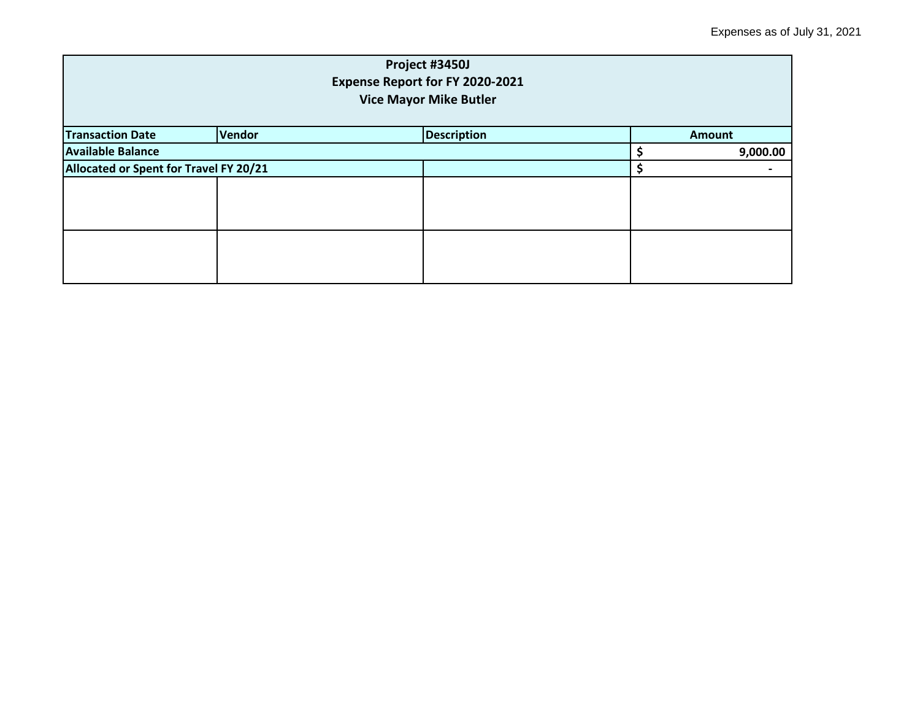| Project #3450J<br>Expense Report for FY 2020-2021<br><b>Vice Mayor Mike Butler</b> |  |  |  |               |  |
|------------------------------------------------------------------------------------|--|--|--|---------------|--|
| Vendor<br><b>Description</b><br><b>Transaction Date</b>                            |  |  |  | <b>Amount</b> |  |
| <b>Available Balance</b>                                                           |  |  |  |               |  |
| Allocated or Spent for Travel FY 20/21                                             |  |  |  |               |  |
|                                                                                    |  |  |  |               |  |
|                                                                                    |  |  |  |               |  |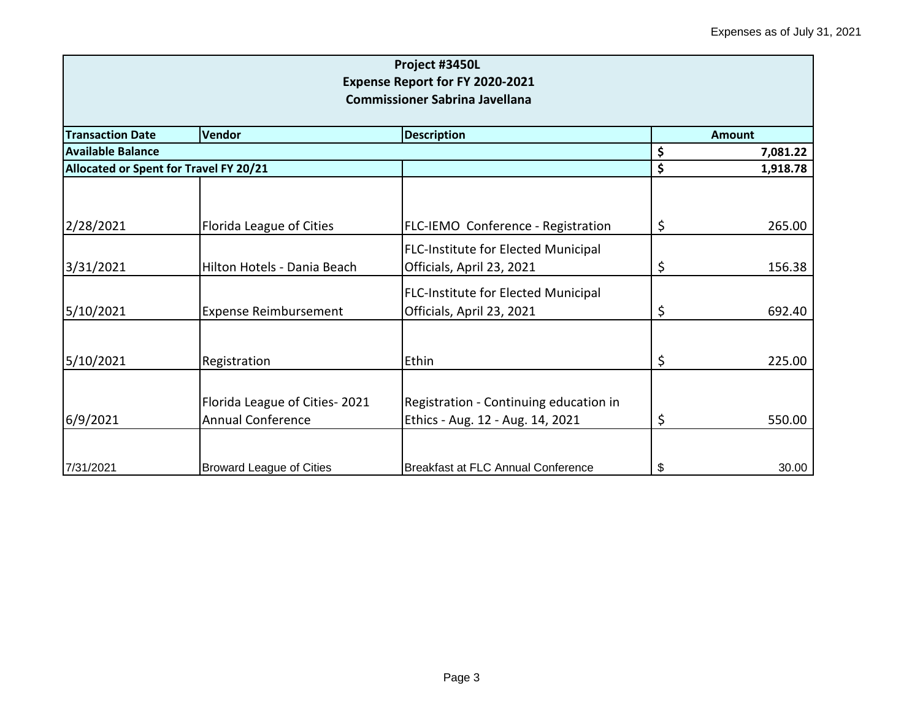| Project #3450L<br>Expense Report for FY 2020-2021<br><b>Commissioner Sabrina Javellana</b> |                                 |                                            |    |               |  |
|--------------------------------------------------------------------------------------------|---------------------------------|--------------------------------------------|----|---------------|--|
| <b>Transaction Date</b>                                                                    | <b>Vendor</b>                   | <b>Description</b>                         |    | <b>Amount</b> |  |
| <b>Available Balance</b>                                                                   |                                 |                                            | \$ | 7,081.22      |  |
| Allocated or Spent for Travel FY 20/21                                                     |                                 |                                            | \$ | 1,918.78      |  |
|                                                                                            |                                 |                                            |    |               |  |
| 2/28/2021                                                                                  | Florida League of Cities        | FLC-IEMO Conference - Registration         | \$ | 265.00        |  |
|                                                                                            |                                 | <b>FLC-Institute for Elected Municipal</b> |    |               |  |
| 3/31/2021                                                                                  | Hilton Hotels - Dania Beach     | Officials, April 23, 2021                  | \$ | 156.38        |  |
|                                                                                            |                                 | <b>FLC-Institute for Elected Municipal</b> |    |               |  |
| 5/10/2021                                                                                  | <b>Expense Reimbursement</b>    | Officials, April 23, 2021                  | \$ | 692.40        |  |
|                                                                                            |                                 |                                            |    |               |  |
| 5/10/2021                                                                                  | Registration                    | Ethin                                      | \$ | 225.00        |  |
|                                                                                            | Florida League of Cities-2021   | Registration - Continuing education in     |    |               |  |
| 6/9/2021                                                                                   | <b>Annual Conference</b>        | Ethics - Aug. 12 - Aug. 14, 2021           | \$ | 550.00        |  |
| 7/31/2021                                                                                  | <b>Broward League of Cities</b> | Breakfast at FLC Annual Conference         | \$ | 30.00         |  |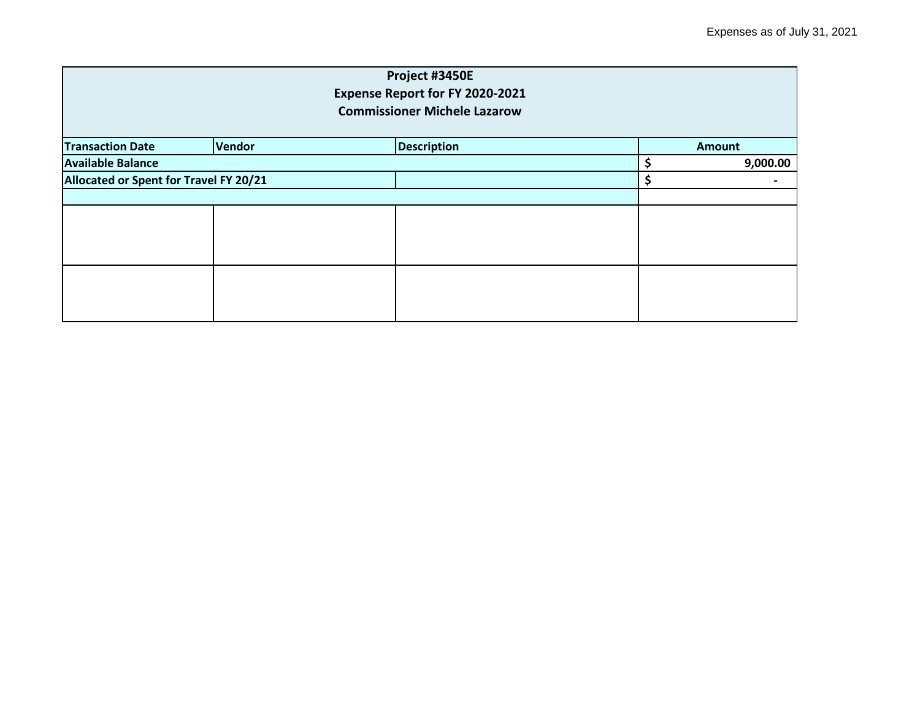| Project #3450E<br>Expense Report for FY 2020-2021<br><b>Commissioner Michele Lazarow</b> |                                        |  |   |          |  |
|------------------------------------------------------------------------------------------|----------------------------------------|--|---|----------|--|
|                                                                                          |                                        |  |   |          |  |
| <b>Available Balance</b>                                                                 |                                        |  | Ś | 9,000.00 |  |
|                                                                                          | Allocated or Spent for Travel FY 20/21 |  |   | \$       |  |
|                                                                                          |                                        |  |   |          |  |
|                                                                                          |                                        |  |   |          |  |
|                                                                                          |                                        |  |   |          |  |
|                                                                                          |                                        |  |   |          |  |
|                                                                                          |                                        |  |   |          |  |
|                                                                                          |                                        |  |   |          |  |
|                                                                                          |                                        |  |   |          |  |